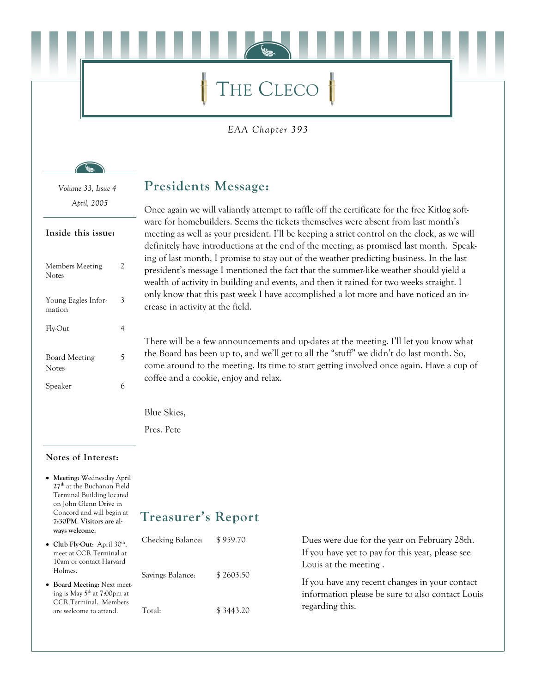# THE CLECO

EAA Chapter 393

Volume 33, Issue 4 April, 2005

#### Inside this issue:

| 2 |
|---|
| 3 |
| 4 |
| 5 |
| 6 |
|   |

#### **Presidents Message:**

Once again we will valiantly attempt to raffle off the certificate for the free Kitlog software for homebuilders. Seems the tickets themselves were absent from last month's meeting as well as your president. I'll be keeping a strict control on the clock, as we will definitely have introductions at the end of the meeting, as promised last month. Speaking of last month, I promise to stay out of the weather predicting business. In the last president's message I mentioned the fact that the summer-like weather should yield a wealth of activity in building and events, and then it rained for two weeks straight. I only know that this past week I have accomplished a lot more and have noticed an increase in activity at the field.

There will be a few announcements and up-dates at the meeting. I'll let you know what the Board has been up to, and we'll get to all the "stuff" we didn't do last month. So, come around to the meeting. Its time to start getting involved once again. Have a cup of coffee and a cookie, enjoy and relax.

Blue Skies,

Pres. Pete

#### Notes of Interest:

• Meeting: Wednesday April 27<sup>th</sup> at the Buchanan Field **Terminal Building located** on John Glenn Drive in Concord and will begin at 7:30PM. Visitors are always welcome.

### **Treasurer's Report**

| • Club Fly-Out: April $30th$ ,<br>meet at CCR Terminal at                                                                  | Checking Balance:<br>10am or contact Harvard<br>Savings Balance: | \$959.70  | Dues were due for the year on February 28th.<br>If you have yet to pay for this year, please see                            |
|----------------------------------------------------------------------------------------------------------------------------|------------------------------------------------------------------|-----------|-----------------------------------------------------------------------------------------------------------------------------|
| Holmes.<br>• Board Meeting: Next meet-<br>ing is May $5th$ at 7:00pm at<br>CCR Terminal. Members<br>are welcome to attend. |                                                                  | \$2603.50 | Louis at the meeting.<br>If you have any recent changes in your contact<br>information please be sure to also contact Louis |
|                                                                                                                            | Total:                                                           | \$3443.20 | regarding this.                                                                                                             |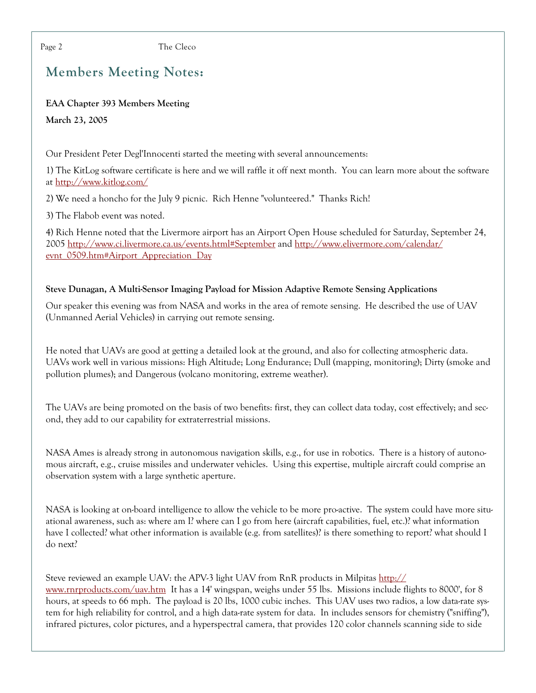The Cleco

## **Members Meeting Notes:**

#### **EAA Chapter 393 Members Meeting**

March 23, 2005

Our President Peter Degl'Innocenti started the meeting with several announcements:

1) The KitLog software certificate is here and we will raffle it off next month. You can learn more about the software at http://www.kitlog.com/

2) We need a honcho for the July 9 picnic. Rich Henne "volunteered." Thanks Rich!

3) The Flabob event was noted.

4) Rich Henne noted that the Livermore airport has an Airport Open House scheduled for Saturday, September 24, 2005 http://www.ci.livermore.ca.us/events.html#September and http://www.elivermore.com/calendar/ evnt 0509.htm#Airport Appreciation Day

#### Steve Dunagan, A Multi-Sensor Imaging Payload for Mission Adaptive Remote Sensing Applications

Our speaker this evening was from NASA and works in the area of remote sensing. He described the use of UAV (Unmanned Aerial Vehicles) in carrying out remote sensing.

He noted that UAVs are good at getting a detailed look at the ground, and also for collecting atmospheric data. UAVs work well in various missions: High Altitude; Long Endurance; Dull (mapping, monitoring); Dirty (smoke and pollution plumes); and Dangerous (volcano monitoring, extreme weather).

The UAVs are being promoted on the basis of two benefits: first, they can collect data today, cost effectively; and second, they add to our capability for extraterrestrial missions.

NASA Ames is already strong in autonomous navigation skills, e.g., for use in robotics. There is a history of autonomous aircraft, e.g., cruise missiles and underwater vehicles. Using this expertise, multiple aircraft could comprise an observation system with a large synthetic aperture.

NASA is looking at on-board intelligence to allow the vehicle to be more pro-active. The system could have more situational awareness, such as: where am I! where can I go from here (aircraft capabilities, fuel, etc.)! what information have I collected? what other information is available (e.g. from satellites)? is there something to report? what should I do next?

Steve reviewed an example UAV: the APV-3 light UAV from RnR products in Milpitas http:// www.rnrproducts.com/uav.htm It has a 14' wingspan, weighs under 55 lbs. Missions include flights to 8000', for 8 hours, at speeds to 66 mph. The payload is 20 lbs, 1000 cubic inches. This UAV uses two radios, a low data-rate system for high reliability for control, and a high data-rate system for data. In includes sensors for chemistry ("sniffing"), infrared pictures, color pictures, and a hyperspectral camera, that provides 120 color channels scanning side to side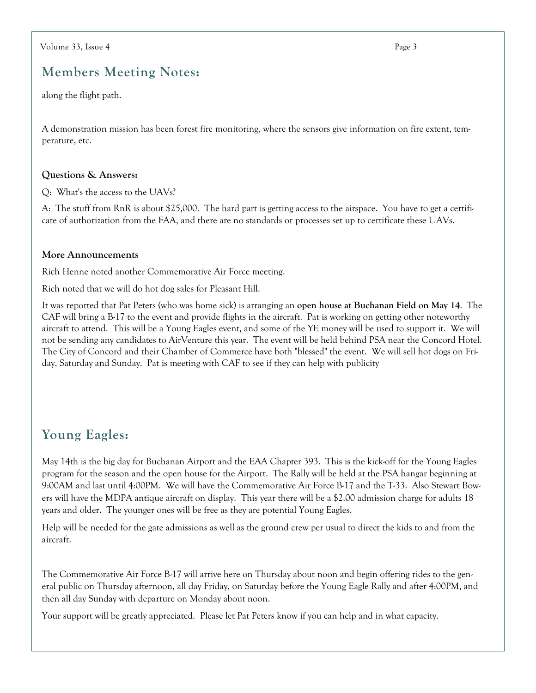### **Members Meeting Notes:**

along the flight path.

A demonstration mission has been forest fire monitoring, where the sensors give information on fire extent, temperature, etc.

#### Questions & Answers:

Q: What's the access to the UAVs?

A: The stuff from RnR is about \$25,000. The hard part is getting access to the airspace. You have to get a certificate of authorization from the FAA, and there are no standards or processes set up to certificate these UAVs.

#### More Announcements

Rich Henne noted another Commemorative Air Force meeting.

Rich noted that we will do hot dog sales for Pleasant Hill.

It was reported that Pat Peters (who was home sick) is arranging an open house at Buchanan Field on May 14. The CAF will bring a B-17 to the event and provide flights in the aircraft. Pat is working on getting other noteworthy aircraft to attend. This will be a Young Eagles event, and some of the YE money will be used to support it. We will not be sending any candidates to AirVenture this year. The event will be held behind PSA near the Concord Hotel. The City of Concord and their Chamber of Commerce have both "blessed" the event. We will sell hot dogs on Friday, Saturday and Sunday. Pat is meeting with CAF to see if they can help with publicity

### **Young Eagles:**

May 14th is the big day for Buchanan Airport and the EAA Chapter 393. This is the kick-off for the Young Eagles program for the season and the open house for the Airport. The Rally will be held at the PSA hangar beginning at 9:00AM and last until 4:00PM. We will have the Commemorative Air Force B-17 and the T-33. Also Stewart Bowers will have the MDPA antique aircraft on display. This year there will be a \$2.00 admission charge for adults 18 years and older. The younger ones will be free as they are potential Young Eagles.

Help will be needed for the gate admissions as well as the ground crew per usual to direct the kids to and from the aircraft.

The Commemorative Air Force B-17 will arrive here on Thursday about noon and begin offering rides to the general public on Thursday afternoon, all day Friday, on Saturday before the Young Eagle Rally and after 4:00PM, and then all day Sunday with departure on Monday about noon.

Your support will be greatly appreciated. Please let Pat Peters know if you can help and in what capacity.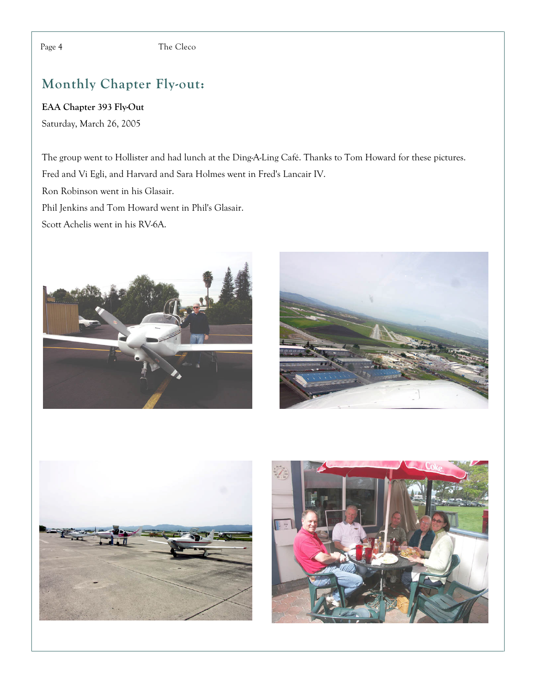# Monthly Chapter Fly-out:

EAA Chapter 393 Fly-Out Saturday, March 26, 2005

The group went to Hollister and had lunch at the Ding-A-Ling Café. Thanks to Tom Howard for these pictures. Fred and Vi Egli, and Harvard and Sara Holmes went in Fred's Lancair IV.

Ron Robinson went in his Glasair.

Phil Jenkins and Tom Howard went in Phil's Glasair.

Scott Achelis went in his RV-6A.







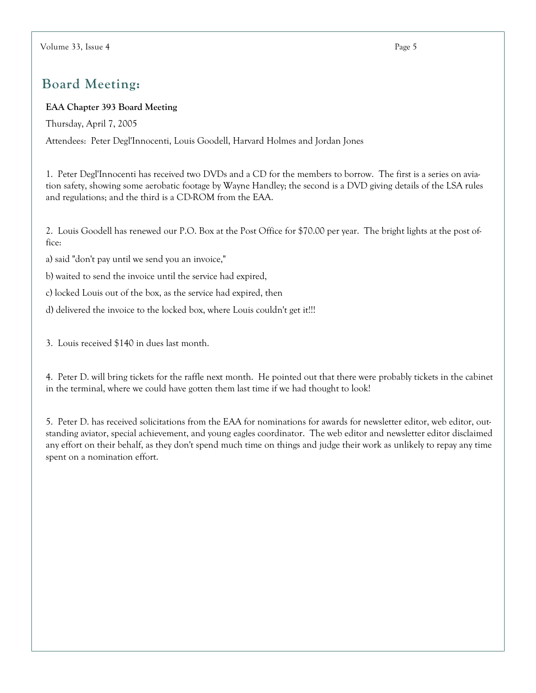## **Board Meeting:**

#### **EAA Chapter 393 Board Meeting**

Thursday, April 7, 2005

Attendees: Peter Degl'Innocenti, Louis Goodell, Harvard Holmes and Jordan Jones

1. Peter Degl'Innocenti has received two DVDs and a CD for the members to borrow. The first is a series on aviation safety, showing some aerobatic footage by Wayne Handley; the second is a DVD giving details of the LSA rules and regulations; and the third is a CD-ROM from the EAA.

2. Louis Goodell has renewed our P.O. Box at the Post Office for \$70.00 per year. The bright lights at the post office:

a) said "don't pay until we send you an invoice,"

b) waited to send the invoice until the service had expired,

c) locked Louis out of the box, as the service had expired, then

d) delivered the invoice to the locked box, where Louis couldn't get it!!!

3. Louis received \$140 in dues last month.

4. Peter D. will bring tickets for the raffle next month. He pointed out that there were probably tickets in the cabinet in the terminal, where we could have gotten them last time if we had thought to look!

5. Peter D. has received solicitations from the EAA for nominations for awards for newsletter editor, web editor, outstanding aviator, special achievement, and young eagles coordinator. The web editor and newsletter editor disclaimed any effort on their behalf, as they don't spend much time on things and judge their work as unlikely to repay any time spent on a nomination effort.